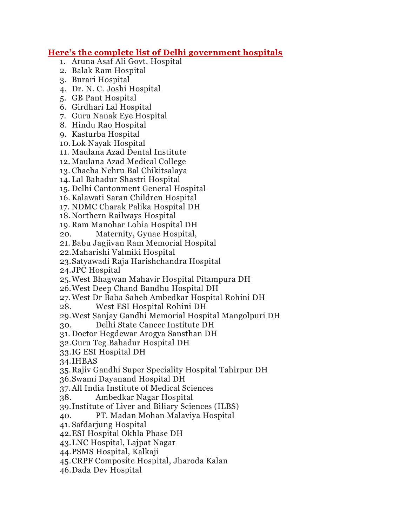## **Here's the complete list of Delhi government hospitals**

- 1. Aruna Asaf Ali Govt. Hospital
- 2. Balak Ram Hospital
- 3. Burari Hospital
- 4. Dr. N. C. Joshi Hospital
- 5. GB Pant Hospital
- 6. Girdhari Lal Hospital
- 7. Guru Nanak Eye Hospital
- 8. Hindu Rao Hospital
- 9. Kasturba Hospital
- 10.Lok Nayak Hospital
- 11. Maulana Azad Dental Institute
- 12. Maulana Azad Medical College
- 13. Chacha Nehru Bal Chikitsalaya
- 14. Lal Bahadur Shastri Hospital
- 15. Delhi Cantonment General Hospital
- 16. Kalawati Saran Children Hospital
- 17. NDMC Charak Palika Hospital DH
- 18.Northern Railways Hospital
- 19. Ram Manohar Lohia Hospital DH
- 20. Maternity, Gynae Hospital,
- 21. Babu Jagjivan Ram Memorial Hospital
- 22.Maharishi Valmiki Hospital
- 23.Satyawadi Raja Harishchandra Hospital
- 24.JPC Hospital
- 25.West Bhagwan Mahavir Hospital Pitampura DH
- 26.West Deep Chand Bandhu Hospital DH
- 27.West Dr Baba Saheb Ambedkar Hospital Rohini DH
- 28. West ESI Hospital Rohini DH
- 29.West Sanjay Gandhi Memorial Hospital Mangolpuri DH
- 30. Delhi State Cancer Institute DH
- 31. Doctor Hegdewar Arogya Sansthan DH
- 32.Guru Teg Bahadur Hospital DH
- 33.IG ESI Hospital DH
- 34.IHBAS
- 35.Rajiv Gandhi Super Speciality Hospital Tahirpur DH
- 36.Swami Dayanand Hospital DH
- 37.All India Institute of Medical Sciences
- 38. Ambedkar Nagar Hospital
- 39.Institute of Liver and Biliary Sciences (ILBS)
- 40. PT. Madan Mohan Malaviya Hospital
- 41. Safdarjung Hospital
- 42.ESI Hospital Okhla Phase DH
- 43.LNC Hospital, Lajpat Nagar
- 44.PSMS Hospital, Kalkaji
- 45.CRPF Composite Hospital, Jharoda Kalan
- 46.Dada Dev Hospital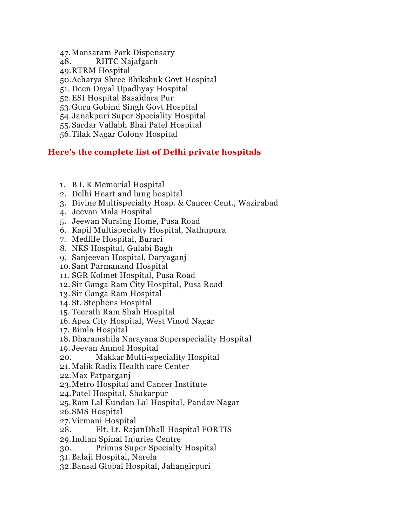- 47.Mansaram Park Dispensary
- 48. RHTC Najafgarh
- 49.RTRM Hospital

50.Acharya Shree Bhikshuk Govt Hospital

- 51. Deen Dayal Upadhyay Hospital
- 52.ESI Hospital Basaidara Pur
- 53.Guru Gobind Singh Govt Hospital
- 54.Janakpuri Super Speciality Hospital
- 55.Sardar Vallabh Bhai Patel Hospital
- 56.Tilak Nagar Colony Hospital

## **Here's the complete list of Delhi private hospitals**

- 1. B L K Memorial Hospital
- 2. Delhi Heart and lung hospital
- 3. Divine Multispecialty Hosp. & Cancer Cent., Wazirabad
- 4. Jeevan Mala Hospital
- 5. Jeewan Nursing Home, Pusa Road
- 6. Kapil Multispecialty Hospital, Nathupura
- 7. Medlife Hospital, Burari
- 8. NKS Hospital, Gulabi Bagh
- 9. Sanjeevan Hospital, Daryaganj
- 10.Sant Parmanand Hospital
- 11. SGR Kolmet Hospital, Pusa Road
- 12. Sir Ganga Ram City Hospital, Pusa Road
- 13. Sir Ganga Ram Hospital
- 14. St. Stephens Hospital
- 15. Teerath Ram Shah Hospital
- 16. Apex City Hospital, West Vinod Nagar
- 17. Bimla Hospital
- 18.Dharamshila Narayana Superspeciality Hospital
- 19. Jeevan Anmol Hospital
- 20. Makkar Multi-speciality Hospital
- 21. Malik Radix Health care Center
- 22.Max Patparganj
- 23.Metro Hospital and Cancer Institute
- 24.Patel Hospital, Shakarpur
- 25.Ram Lal Kundan Lal Hospital, Pandav Nagar
- 26.SMS Hospital
- 27.Virmani Hospital
- 28. Flt. Lt. RajanDhall Hospital FORTIS
- 29.Indian Spinal Injuries Centre
- 30. Primus Super Specialty Hospital
- 31. Balaji Hospital, Narela
- 32.Bansal Global Hospital, Jahangirpuri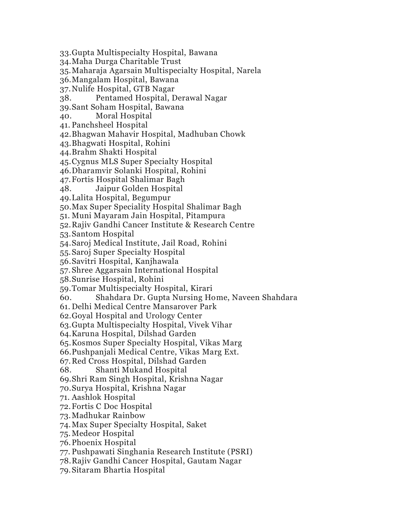33.Gupta Multispecialty Hospital, Bawana

34.Maha Durga Charitable Trust

35.Maharaja Agarsain Multispecialty Hospital, Narela

36.Mangalam Hospital, Bawana

37.Nulife Hospital, GTB Nagar

38. Pentamed Hospital, Derawal Nagar

39.Sant Soham Hospital, Bawana

40. Moral Hospital

41. Panchsheel Hospital

42.Bhagwan Mahavir Hospital, Madhuban Chowk

43.Bhagwati Hospital, Rohini

44.Brahm Shakti Hospital

45.Cygnus MLS Super Specialty Hospital

46.Dharamvir Solanki Hospital, Rohini

47.Fortis Hospital Shalimar Bagh

48. Jaipur Golden Hospital

49.Lalita Hospital, Begumpur

50.Max Super Speciality Hospital Shalimar Bagh

51. Muni Mayaram Jain Hospital, Pitampura

52.Rajiv Gandhi Cancer Institute & Research Centre

53.Santom Hospital

54.Saroj Medical Institute, Jail Road, Rohini

55.Saroj Super Specialty Hospital

56.Savitri Hospital, Kanjhawala

57. Shree Aggarsain International Hospital

58.Sunrise Hospital, Rohini

59.Tomar Multispecialty Hospital, Kirari

60. Shahdara Dr. Gupta Nursing Home, Naveen Shahdara

61. Delhi Medical Centre Mansarover Park

62.Goyal Hospital and Urology Center

63.Gupta Multispecialty Hospital, Vivek Vihar

64.Karuna Hospital, Dilshad Garden

65.Kosmos Super Specialty Hospital, Vikas Marg

66.Pushpanjali Medical Centre, Vikas Marg Ext.

67.Red Cross Hospital, Dilshad Garden

68. Shanti Mukand Hospital

69.Shri Ram Singh Hospital, Krishna Nagar

70.Surya Hospital, Krishna Nagar

71. Aashlok Hospital

72.Fortis C Doc Hospital

73.Madhukar Rainbow

74.Max Super Specialty Hospital, Saket

75.Medeor Hospital

76.Phoenix Hospital

77. Pushpawati Singhania Research Institute (PSRI)

78.Rajiv Gandhi Cancer Hospital, Gautam Nagar

79.Sitaram Bhartia Hospital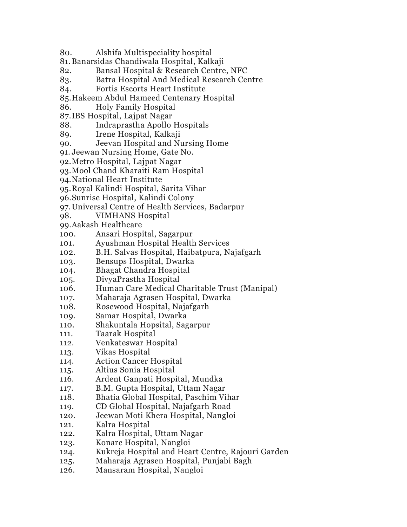- 80. Alshifa Multispeciality hospital
- 81.Banarsidas Chandiwala Hospital, Kalkaji
- 82. Bansal Hospital & Research Centre, NFC
- 83. Batra Hospital And Medical Research Centre
- 84. Fortis Escorts Heart Institute
- 85.Hakeem Abdul Hameed Centenary Hospital
- 86. Holy Family Hospital
- 87.IBS Hospital, Lajpat Nagar
- 88. Indraprastha Apollo Hospitals
- 89. Irene Hospital, Kalkaji
- 90. Jeevan Hospital and Nursing Home
- 91. Jeewan Nursing Home, Gate No.
- 92.Metro Hospital, Lajpat Nagar
- 93.Mool Chand Kharaiti Ram Hospital
- 94.National Heart Institute
- 95.Royal Kalindi Hospital, Sarita Vihar
- 96.Sunrise Hospital, Kalindi Colony
- 97.Universal Centre of Health Services, Badarpur
- 98. VIMHANS Hospital
- 99.Aakash Healthcare
- 100. Ansari Hospital, Sagarpur
- 101. Ayushman Hospital Health Services
- 102. B.H. Salvas Hospital, Haibatpura, Najafgarh
- 103. Bensups Hospital, Dwarka
- 104. Bhagat Chandra Hospital
- 105. DivyaPrastha Hospital
- 106. Human Care Medical Charitable Trust (Manipal)
- 107. Maharaja Agrasen Hospital, Dwarka
- 108. Rosewood Hospital, Najafgarh
- 109. Samar Hospital, Dwarka
- 110. Shakuntala Hopsital, Sagarpur
- 111. Taarak Hospital
- 112. Venkateswar Hospital
- 113. Vikas Hospital
- 114. Action Cancer Hospital
- 115. Altius Sonia Hospital
- 116. Ardent Ganpati Hospital, Mundka
- 117. B.M. Gupta Hospital, Uttam Nagar
- 118. Bhatia Global Hospital, Paschim Vihar
- 119. CD Global Hospital, Najafgarh Road
- 120. Jeewan Moti Khera Hospital, Nangloi
- 121. Kalra Hospital
- 122. Kalra Hospital, Uttam Nagar
- 123. Konarc Hospital, Nangloi
- 124. Kukreja Hospital and Heart Centre, Rajouri Garden
- 125. Maharaja Agrasen Hospital, Punjabi Bagh
- 126. Mansaram Hospital, Nangloi